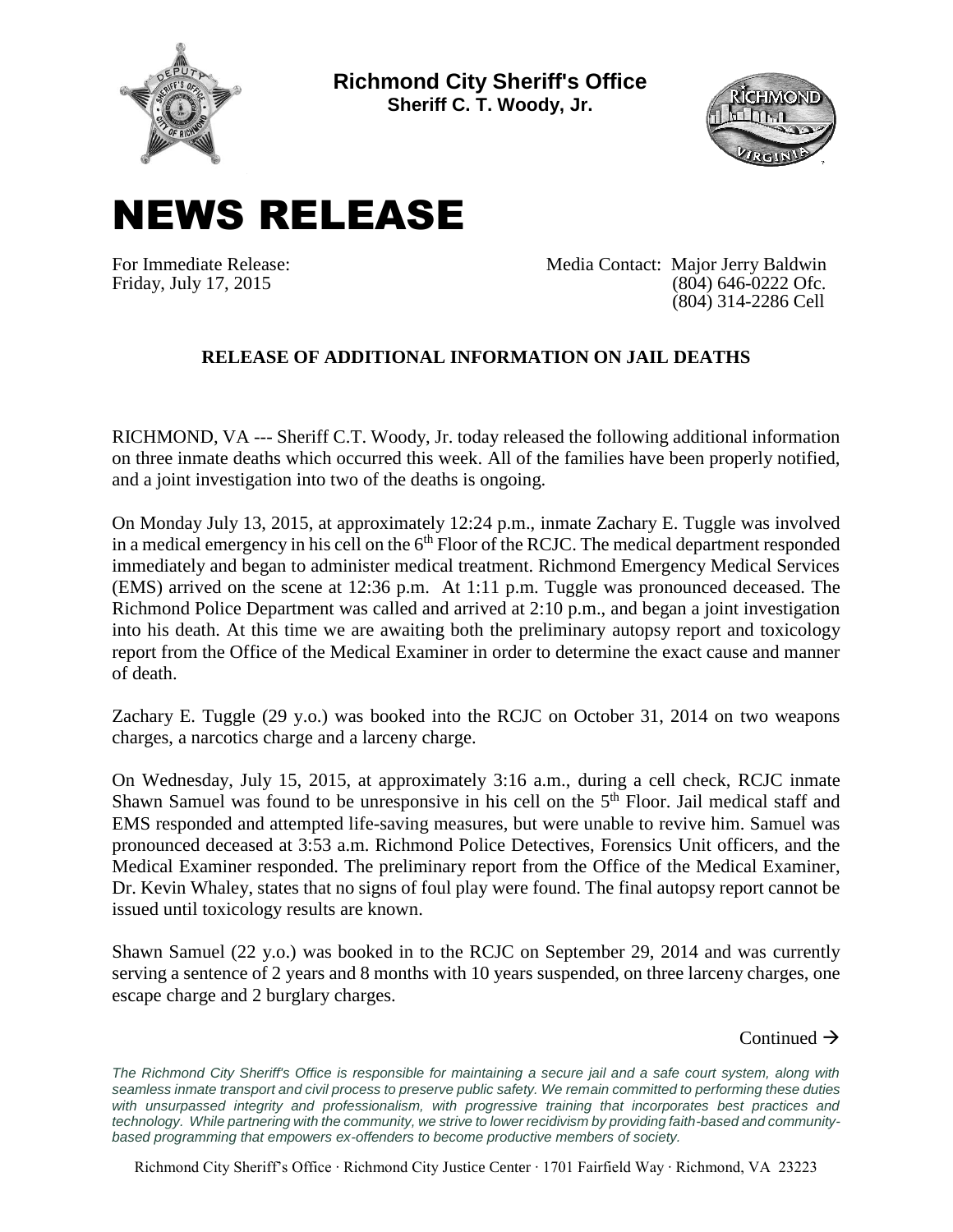

**Richmond City Sheriff's Office Sheriff C. T. Woody, Jr.**



## NEWS RELEASE

For Immediate Release: Media Contact: Major Jerry Baldwin Friday, July 17, 2015 (804) 646-0222 Ofc. (804) 314-2286 Cell

## **RELEASE OF ADDITIONAL INFORMATION ON JAIL DEATHS**

RICHMOND, VA --- Sheriff C.T. Woody, Jr. today released the following additional information on three inmate deaths which occurred this week. All of the families have been properly notified, and a joint investigation into two of the deaths is ongoing.

On Monday July 13, 2015, at approximately 12:24 p.m., inmate Zachary E. Tuggle was involved in a medical emergency in his cell on the  $6<sup>th</sup>$  Floor of the RCJC. The medical department responded immediately and began to administer medical treatment. Richmond Emergency Medical Services (EMS) arrived on the scene at 12:36 p.m. At 1:11 p.m. Tuggle was pronounced deceased. The Richmond Police Department was called and arrived at 2:10 p.m., and began a joint investigation into his death. At this time we are awaiting both the preliminary autopsy report and toxicology report from the Office of the Medical Examiner in order to determine the exact cause and manner of death.

Zachary E. Tuggle (29 y.o.) was booked into the RCJC on October 31, 2014 on two weapons charges, a narcotics charge and a larceny charge.

On Wednesday, July 15, 2015, at approximately 3:16 a.m., during a cell check, RCJC inmate Shawn Samuel was found to be unresponsive in his cell on the 5<sup>th</sup> Floor. Jail medical staff and EMS responded and attempted life-saving measures, but were unable to revive him. Samuel was pronounced deceased at 3:53 a.m. Richmond Police Detectives, Forensics Unit officers, and the Medical Examiner responded. The preliminary report from the Office of the Medical Examiner, Dr. Kevin Whaley, states that no signs of foul play were found. The final autopsy report cannot be issued until toxicology results are known.

Shawn Samuel (22 y.o.) was booked in to the RCJC on September 29, 2014 and was currently serving a sentence of 2 years and 8 months with 10 years suspended, on three larceny charges, one escape charge and 2 burglary charges.

Continued  $\rightarrow$ 

The Richmond City Sheriff's Office is responsible for maintaining a secure jail and a safe court system, along with *seamless inmate transport and civil process to preserve public safety. We remain committed to performing these duties*  with unsurpassed integrity and professionalism, with progressive training that incorporates best practices and *technology. While partnering with the community, we strive to lower recidivism by providing faith-based and communitybased programming that empowers ex-offenders to become productive members of society.*